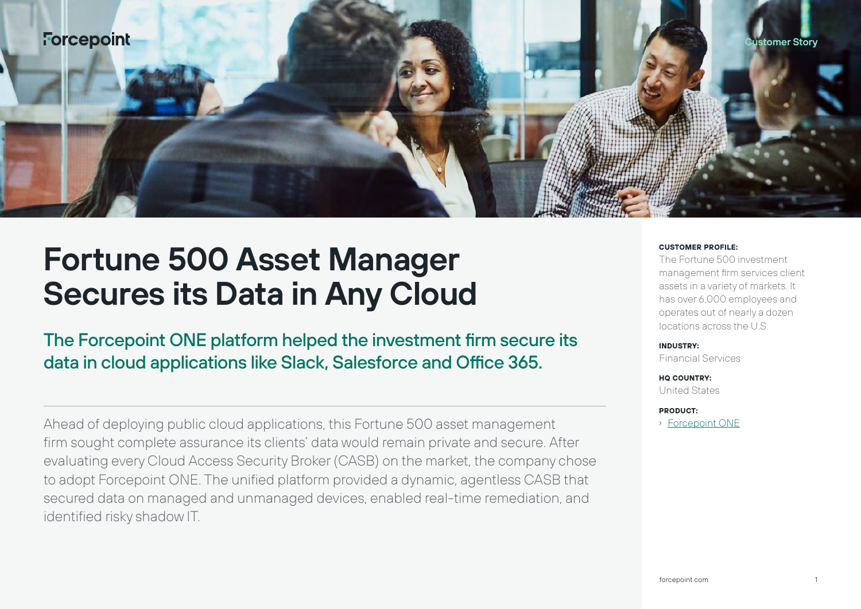

# **Fortune 500 Asset Manager Secures its Data in Any Cloud**

The Forcepoint ONE platform helped the investment firm secure its data in cloud applications like Slack, Salesforce and Office 365.

Ahead of deploying public cloud applications, this Fortune 500 asset management firm sought complete assurance its clients' data would remain private and secure. After evaluating every Cloud Access Security Broker (CASB) on the market, the company chose to adopt Forcepoint ONE. The unified platform provided a dynamic, agentless CASB that secured data on managed and unmanaged devices, enabled real-time remediation, and identified risky shadow IT.

#### **CUSTOMER PROFILE:**

The Fortune 500 investment management firm services client assets in a variety of markets. It has over 6,000 employees and operates out of nearly a dozen locations across the U.S.

#### **INDUSTRY:**

Financial Services

**HQ COUNTRY:** United States

#### **PRODUCT:**

› [Forcepoint ONE](https://www.forcepoint.com/product/forcepoint-one)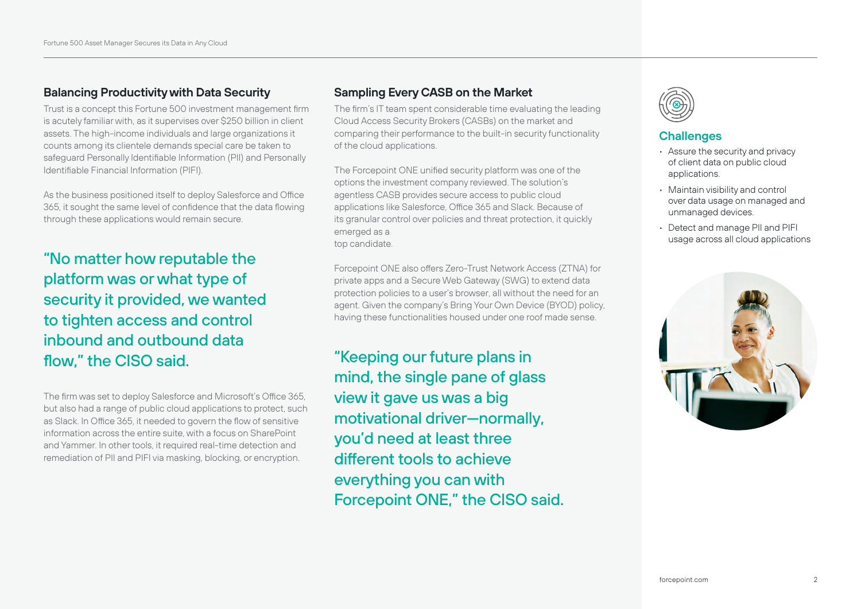# **Balancing Productivity with Data Security**

Trust is a concept this Fortune 500 investment management firm is acutely familiar with, as it supervises over \$250 billion in client assets. The high-income individuals and large organizations it counts among its clientele demands special care be taken to safeguard Personally Identifiable Information (PII) and Personally Identifiable Financial Information (PIFI).

As the business positioned itself to deploy Salesforce and Office 365, it sought the same level of confidence that the data flowing through these applications would remain secure.

"No matter how reputable the platform was or what type of security it provided, we wanted to tighten access and control inbound and outbound data flow," the CISO said.

The firm was set to deploy Salesforce and Microsoft's Office 365, but also had a range of public cloud applications to protect, such as Slack. In Office 365, it needed to govern the flow of sensitive information across the entire suite, with a focus on SharePoint and Yammer. In other tools, it required real-time detection and remediation of PII and PIFI via masking, blocking, or encryption.

# **Sampling Every CASB on the Market**

The firm's IT team spent considerable time evaluating the leading Cloud Access Security Brokers (CASBs) on the market and comparing their performance to the built-in security functionality of the cloud applications.

The Forcepoint ONE unified security platform was one of the options the investment company reviewed. The solution's agentless CASB provides secure access to public cloud applications like Salesforce, Office 365 and Slack. Because of its granular control over policies and threat protection, it quickly emerged as a top candidate.

Forcepoint ONE also offers Zero-Trust Network Access (ZTNA) for private apps and a Secure Web Gateway (SWG) to extend data protection policies to a user's browser, all without the need for an agent. Given the company's Bring Your Own Device (BYOD) policy, having these functionalities housed under one roof made sense.

"Keeping our future plans in mind, the single pane of glass view it gave us was a big motivational driver—normally, you'd need at least three different tools to achieve everything you can with Forcepoint ONE," the CISO said.



### **Challenges**

- Assure the security and privacy of client data on public cloud applications.
- Maintain visibility and control over data usage on managed and unmanaged devices.
- Detect and manage PII and PIFI usage across all cloud applications